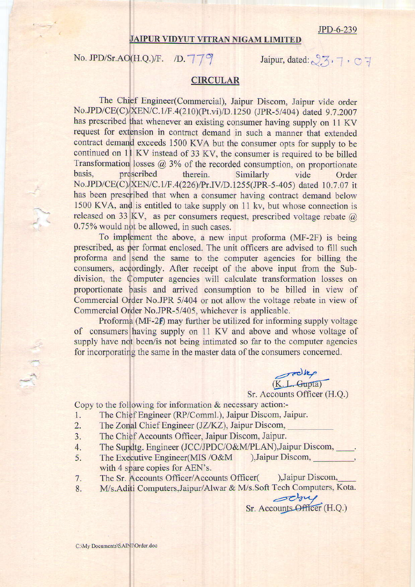JPD-6-239

## JAIPUR VIDYUT VITRAN NIGAM LIMITED

No. JPD/Sr.AO $(H,Q)$ /F. (D.  $779$ 

Jaipur, dated:  $2.5.7.07$ 

## CIRCULAR

No.JPD/CE(C)/XEN/C.1/F.4(226)/Pr.IV/D.1255(JPR-5-405) dated 10.7.07 it has been prescribed that when a consumer having contract demand below The Engineer(Commercial), Jaipur Discom, Jaipur vide order No.JPD/CE(C) XEN/C.1/F.4(210)(Pt.vi)/D.1250 (JPR-5/404) dated 9.7.2007 has prescribed that whenever an existing consumer having supply on 11 KV request for extension in contract demand in such a manner that extended contract demand exceeds 1500 KVA but the consumer opts for supply to be continued on 11 KV instead of 33 KV, the consumer is required to be billed Transformation losses  $@3\%$  of the recorded consumption, on proportionate basis, prescribed therein. Similarly vide Order 1500 KVA, and is entitled to take supply on 11 kv, but whose connection is released on 33 KV, as per consumers request, prescribed voltage rebate  $\omega$ 0.75% would not be allowed, in such cases.

To implement the above, a new input proforma (MF-2F) is being prescribed, as per format enclosed. The unit officers are advised to fill such proforma and send the same to the computer agencies for billing the consumers, accordingly. After receipt of the above input from the Subdivision, the Computer agencies will calculate transformation losses on proportionate basis and arrived consumption to be billed in view of Commercial Order No.JPR 5/404 or not allow the voltage rebate in view of Commercial Order No.JPR-5/405, whichever is applicable

Proforma (MF-2 $f$ ) may further be utilized for informing supply voltage of consumers having supply on 11 KV and above and whose voltage of supply have not been/is not being intimated so far to the computer agencies for incorporating the same in the master data of the consumers concerned.

> R.L.Gupta) Sr. Accounts Officer (H.Q.)

Sr. Accounts Officer (H.Q.)

Copy to the following for information & necessary action:-

- 1. The Chief Engineer (RP/Comml.), Jaipur Discom, Jaipur.
- 2. The Zonal Chief Engineer (JZ/KZ), Jaipur Discom,
- 3. The Chief Accounts Officer, Jaipur Discom, Jaipur.
- 4. The Supdtg. Engineer (JCC/JPDC/O&M/PLAN),Jaipur Discom,
- with 4 spare copies for AEN's. 5. -. The Executive Engineer(MIS /O&M ),Jaipur Discom,
- The Sr. Accounts Officer/Accounts Officer( ),Jaipur Discom, 7.
- 8. M/s.Aditi Computers,Jaipur/Alwar & M/s.Soft Tech Computers, Kota.

C:\My Documents\SAINI\Order.doc